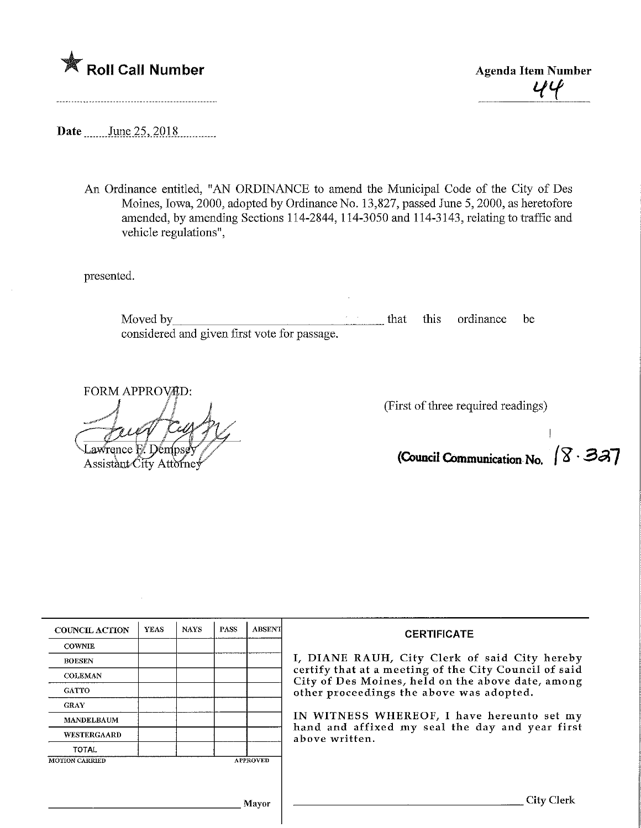



Date \_\_\_\_\_\_\_ June 25, 2018

An Ordinance entitled, "AN ORDLNANCE to amend the Municipal Code of the City of Des Moines, Iowa, 2000, adopted by Ordinance No. 13,827, passed June 5, 2000, as heretofore amended, by amending Sections 114-2844, 114-3050 and 114-3143, relatingto traffic and vehicle regulations",

presented.

Moved by <u>example and the set of the set of the set of the set of the set of the set of the set of the set of the set of the set of the set of the set of the set of the set of the set of the set of the set of the set of th</u> considered and given first vote for passage.

Lawrence F. Dempsey<br>Assistant City Attorney

FORM APPROVAD:<br>  $\iint$   $\iint$   $\iint$   $\iint$   $\iint$  (First of three required readings)

(Council Communication No.  $\sqrt{8.33}$ 

| <b>COUNCIL ACTION</b>                    | <b>YEAS</b> | <b>NAYS</b> | <b>PASS</b> | <b>ABSENT</b> | <b>CERTIFICATE</b>                                                                                                                                                                                      |  |  |
|------------------------------------------|-------------|-------------|-------------|---------------|---------------------------------------------------------------------------------------------------------------------------------------------------------------------------------------------------------|--|--|
| <b>COWNIE</b>                            |             |             |             |               |                                                                                                                                                                                                         |  |  |
| <b>BOESEN</b>                            |             |             |             |               | I, DIANE RAUH, City Clerk of said City hereby<br>certify that at a meeting of the City Council of said<br>City of Des Moines, held on the above date, among<br>other proceedings the above was adopted. |  |  |
| <b>COLEMAN</b>                           |             |             |             |               |                                                                                                                                                                                                         |  |  |
| <b>GATTO</b>                             |             |             |             |               |                                                                                                                                                                                                         |  |  |
| <b>GRAY</b>                              |             |             |             |               |                                                                                                                                                                                                         |  |  |
| <b>MANDELBAUM</b>                        |             |             |             |               | IN WITNESS WHEREOF, I have hereunto set my<br>hand and affixed my seal the day and year first<br>above written.                                                                                         |  |  |
| WESTERGAARD                              |             |             |             |               |                                                                                                                                                                                                         |  |  |
| <b>TOTAL</b>                             |             |             |             |               |                                                                                                                                                                                                         |  |  |
| <b>MOTION CARRIED</b><br><b>APPROVED</b> |             |             |             |               |                                                                                                                                                                                                         |  |  |
|                                          |             |             |             |               |                                                                                                                                                                                                         |  |  |
|                                          |             |             |             |               |                                                                                                                                                                                                         |  |  |
| Mavor                                    |             |             |             |               | Citv                                                                                                                                                                                                    |  |  |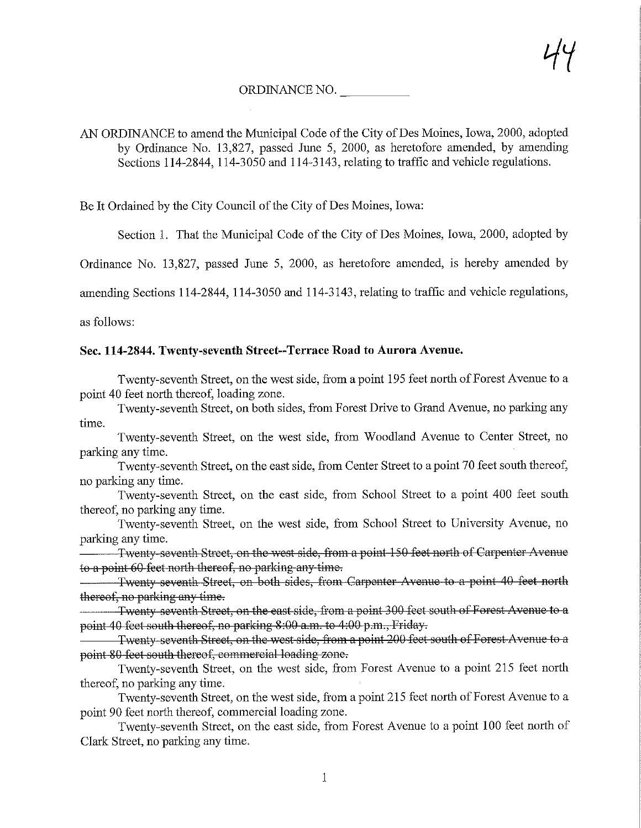## ORDINANCE NO.

AN ORDINANCE to amend the Municipal Code of the City of Des Moines, Iowa, 2000, adopted by Ordinance No. 13,827, passed June 5, 2000, as heretofore amended, by amending Sections 114-2844, 114-3050 and 114-3143, relating to traffic and vehicle regulations.

Be It Ordained by the City Council of the City of Des Moines, Iowa:

Section 1. That the Municipal Code of the City of Des Moines, Iowa, 2000, adopted by

Ordinance No. 13,827, passed June 5, 2000, as heretofore amended, is hereby amended by

amending Sections 114-2844, 114-3050 and 114-3143, relating to traffic and vehicle regulations,

as follows:

## Sec. 114-2844. Twenty-seventh Street—Terrace Road to Aurora Avenue.

Twenty-seventh Street, on the west side, from a point 195 feet north of Forest Avenue to a point 40 feet north thereof, loading zone.

Twenty-seventh Street, on both sides, from Forest Drive to Grand Avenue, no parking any time.

Twenty-seventh Street, on the west side, from Woodland Avenue to Center Street, no parking any time.

Twenty-seventh Street, on the east side, from Center Street to a point 70 feet south thereof, no parking any time.

Twenty-seventh Street, on the east side, from School Street to a point 400 feet south thereof, no parking any time.

Twenty-seventh Street, on the west side, from School Street to University Avenue, no parking any time.

Twenty seventh Street, on the west side, from a point 150 feet north of Carpenter Avenue to a point 60 feet north thereof, no parking any time.

Twenty seventh Street, on both sides, from Carpenter Avenue to a point 40 feet north thereof, no parking any time.

Twenty seventh Street, on the east side, from a point 300 feet south of Forest Avenue to a point 40 feet south thereof, no parking 8:00 a.m. to 4:00 p.m., Friday.

Twenty seventh Street, on the west side, from a point 200 feet south of Forest Avenue to a point 80 feet south thereof, commercial loading zone.

Twenty-seventh Street, on the west side, from Forest Avenue to a point 215 feet north thereof, no parking any time.

Twenty-seventh Street, on the west side, from a point 215 feet north of Forest Avenue to a point 90 feet north thereof, commercial loading zone.

Twenty-seventh Street, on the east side, from Forest Avenue to a point 100 feet north of Clark Street, no parking any time.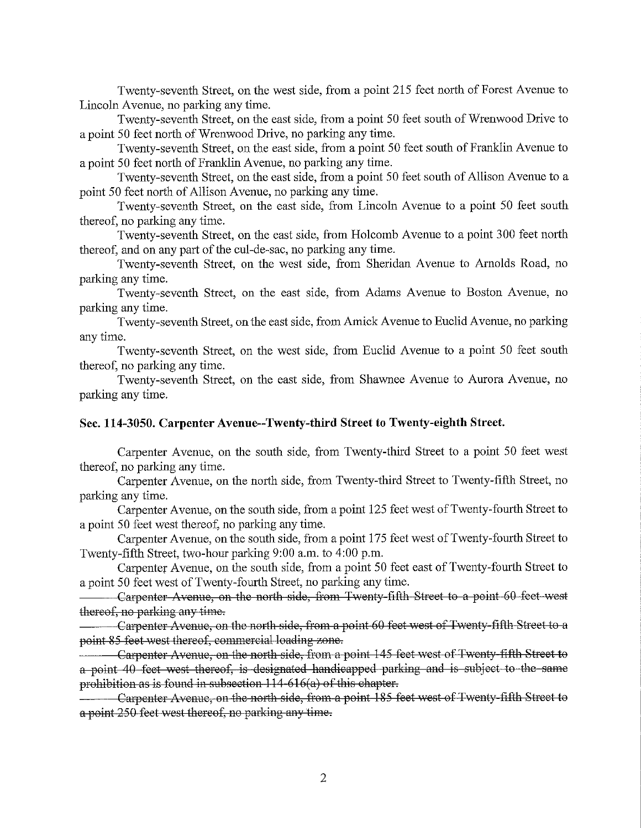Twenty-seventh Street, on the west side, from a point 215 feet north of Forest Avenue to Lincoln Avenue, no parking any time.

Twenty-seventh Street, on the east side, from a point 50 feet south of Wrenwood Drive to a point 50 feet north of Wrenwood Drive, no parking any time.

Twenty-seventh Street, on the east side, from a point 50 feet south of Franklin Avenue to a point 50 feet north of Franklin Avenue, no parking any time.

Twenty-seventh Street, on the east side, from a point 50 feet south of Allison Avenue to a point 50 feet north of Allison Avenue, no parking any time.

Twenty-seventh Street, on the east side, from Lincoln Avenue to a point 50 feet south thereof, no parking any time.

Twenty-seventh Street, on the east side, from Holcomb Avenue to a point 300 feet north thereof, and on any part of the cul-de-sac, no parking any time.

Twenty-seventh Street, on the west side, from Sheridan Avenue to Arnolds Road, no parking any time.

Twenty-seventh Street, on the east side, from Adams Avenue to Boston Avenue, no parking any time.

Twenty-seventh Street, on the east side, from Amick Avenue to Euclid Avenue, no parking any time.

Twenty-seventh Street, on the west side, from Euclid Avenue to a point 50 feet south thereof, no parking any time.

Twenty-seventh Street, on the east side, from Shawnee Avenue to Aurora Avenue, no parking any time.

## Sec. 114-3050. Carpenter Avenue—Twenty-third Street to Twenty-eighth Street.

Carpenter Avenue, on the south side, from Twenty-third Street to a point 50 feet west thereof, no parking any time.

Carpenter Avenue, on the north side, from Twenty-third Street to Twenty-fifth Street, no parking any time.

Carpenter Avenue, on the south side, from a point 125 feet west of Twenty-fourth Street to a point 50 feet west thereof, no parking any time.

Carpenter Avenue, on the south side, from a point 175 feet west of Twenty-fourth Street to Twenty-fifth Street, two-hour parking 9:00 a.m. to 4:00 p.m.

Carpenter Avenue, on the south side, from a point 50 feet east of Twenty-fourth Street to a point 50 feet west of Twenty-fourth Street, no parking any time.

Carpenter Avenue, on the north side, from Twenty-fifth Street to a point 60 feet west thereof, no parking any time.

Carpenter Avenue, on the north side, from a point 60 feet west of Twenty fifth Street to a point 85 feet west thereof, commercial loading zone.

Carpenter Avenue, on the north side, from a point 115 feet west of Twenty fifth Street to a point 40 feet west thereof, is designated handicapped parking and is subject to the same prohibition as is found in subsection  $114-616(a)$  of this chapter.

Carpenter Avenue, on the north side, from a point 185 feet west of Twenty fifth Street to a point 250 feet west thereof, no parking any time.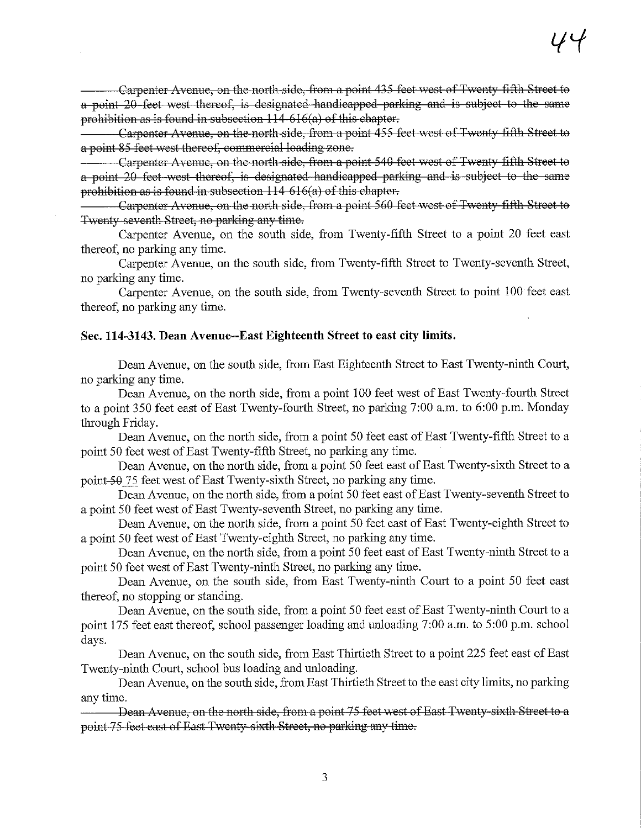Carpenter Avenue, on the north side, from a point 435 feet west of Twenty fifth Street to a point 20 feet west thereof, is designated handicapped parking and is subject to the same prohibition as is found in subsection  $114-616(a)$  of this chapter.

Carpenter Avenue, on the north side, from a point 455 feet west of Twenty fifth Street to a point 85 feet west thereof, commercial loading zone.

Carpenter Avenue, on the north side, from a point 510 feet west of Twenty fifth Street to a point 20 feet west thereof, is designated handicapped parking and is subject to the same prohibition as is found in subsection 111 616(a) of this chapter.

Carpenter Avenue, on the north side, from a point 560 feet west of Twenty-fifth Street to Twenty seventh Street, no parking any time.

Carpenter Avenue, on the south side, from Twenty-fifth Street to a point 20 feet east thereof, no parking any time.

Carpenter Avenue, on the south side, from Twenty-fifth Street to Twenty-seventh Street, no parking any time.

Carpenter Avenue, on the south side, from Twenty-seventh Street to point 100 feet east thereof, no parking any time.

## Sec. 114-3143. Dean Avenue—East Eighteenth Street to east city limits.

Dean Avenue, on the south side, from East Eighteenth Street to East Twenty-ninth Court, no parking any time.

Dean Avenue, on the north side, from a point 100 feet west of East Twenty-fourth Street to a point 350 feet east of East Twenty-fourth Street, no parking 7:00 a.m. to 6:00 p.m. Monday through Friday.

Dean Avenue, on the north side, from a point 50 feet east of East Twenty-fifth Street to a point 50 feet west of East Twenty-fifth Street, no parking any time.

Dean Avenue, on the north side, from a point 50 feet east of East Twenty-sixth Street to a point-50 75 feet west of East Twenty-sixth Street, no parking any time.

Dean Avenue, on the north side, from a point 50 feet east of East Twenty-seventh Street to a point 50 feet west of East Twenty-seventh Street, no parking any time.

Dean Avenue, on the north side, from a point 50 feet east of East Twenty-eighth Street to a point 50 feet west of East Twenty-eighth Street, no parking any time.

Dean Avenue, on the north side, from a point 50 feet east of East Twenty-ninth Street to a point 50 feet west of East Twenty-ninth Street, no parking any time.

Dean Avenue, on the south side, from East Twenty-ninth Court to a point 50 feet east thereof, no stopping or standing.

Dean Avenue, on the south side, from a point 50 feet east of East Twenty-ninth Court to a point 175 feet east thereof, school passenger loading and unloading 7:00 a.m. to 5:00 p.m. school days.

Dean Avenue, on the south side, from East Thirtieth Street to a point 225 feet east of East Twenty-ninth Court, school bus loading and unloading.

Dean Avenue, on the south side, from East Thirtiefh Street to the east city limits, no parking any time.

Dean Avenue, on the north side, from a point 75 feet west of East Twenty-sixth Street to a point 75 feet cast of East Twenty sixth Street, no parking any time.